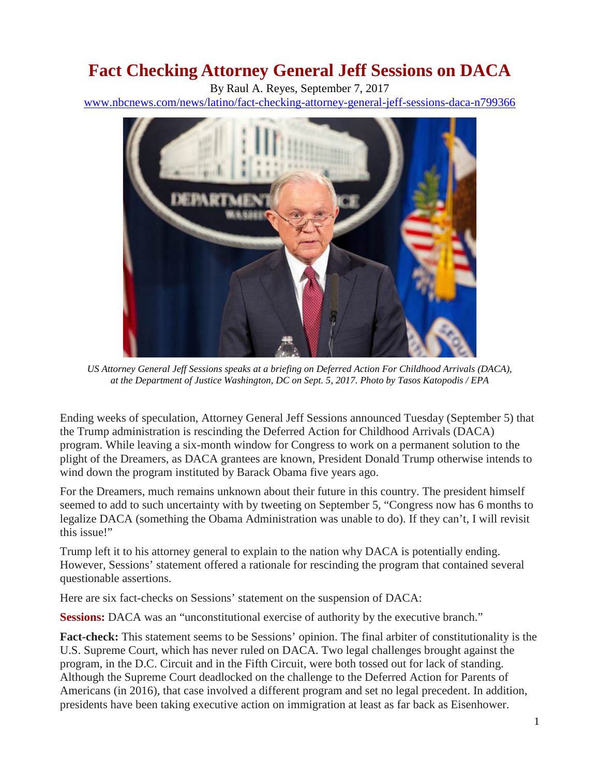## **Fact Checking Attorney General Jeff Sessions on DACA**

By Raul A. Reyes, September 7, 2017

[www.nbcnews.com/news/latino/fact-checking-attorney-general-jeff-sessions-daca-n799366](http://www.nbcnews.com/news/latino/fact-checking-attorney-general-jeff-sessions-daca-n799366)



*US Attorney General Jeff Sessions speaks at a briefing on Deferred Action For Childhood Arrivals (DACA), at the Department of Justice Washington, DC on Sept. 5, 2017. Photo by Tasos Katopodis / EPA*

Ending weeks of speculation, Attorney General Jeff Sessions announced Tuesday (September 5) that the Trump administration is rescinding the Deferred Action for Childhood Arrivals (DACA) program. While leaving a six-month window for Congress to work on a permanent solution to the plight of the Dreamers, as DACA grantees are known, President Donald Trump otherwise intends to wind down the program instituted by Barack Obama five years ago.

For the Dreamers, much remains unknown about their future in this country. The president himself seemed to add to such uncertainty with by tweeting on September 5, "Congress now has 6 months to legalize DACA (something the Obama Administration was unable to do). If they can't, I will revisit this issue!"

Trump left it to his attorney general to explain to the nation why DACA is potentially ending. However, Sessions' statement offered a rationale for rescinding the program that contained several questionable assertions.

Here are six fact-checks on Sessions' statement on the suspension of DACA:

**Sessions:** DACA was an "unconstitutional exercise of authority by the executive branch."

**Fact-check:** This statement seems to be Sessions' opinion. The final arbiter of constitutionality is the U.S. Supreme Court, which has never ruled on DACA. Two legal challenges brought against the program, in the D.C. Circuit and in the Fifth Circuit, were both tossed out for lack of standing. Although the Supreme Court deadlocked on the challenge to the Deferred Action for Parents of Americans (in 2016), that case involved a different program and set no legal precedent. In addition, presidents have been taking executive action on immigration at least as far back as Eisenhower.